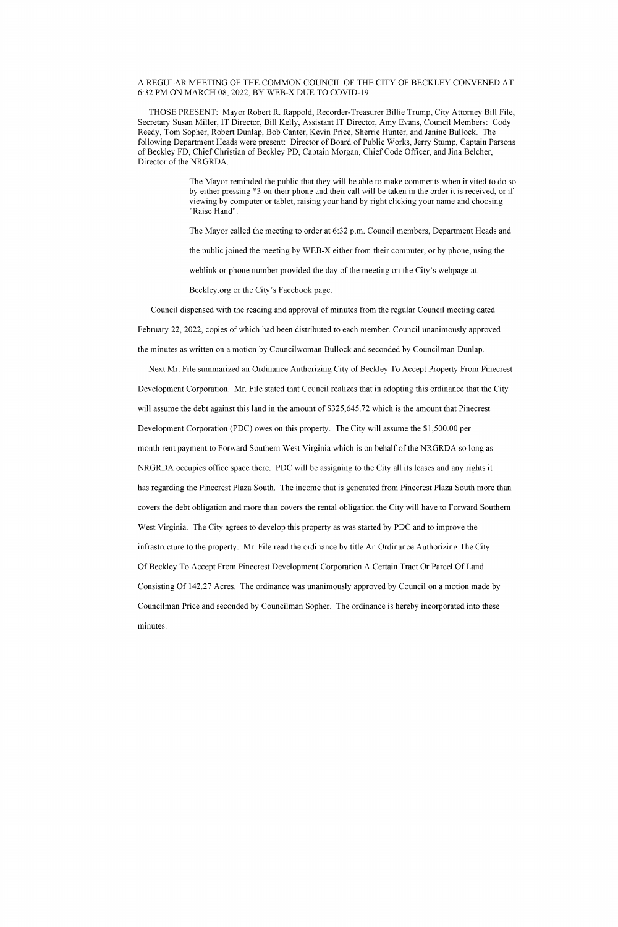## A REGULAR MEETING OF THE COMMON COUNCIL OF THE CITY OF BECKLEY CONVENED AT 6:32 PM ON MARCH 08, 2022, BY WEB-X DUE TO COVID-19.

THOSE PRESENT: Mayor Robert R. Rappold, Recorder-Treasurer Billie Trump, City Attorney Bill File, Secretary Susan Miller, IT Director, Bill Kelly, Assistant IT Director, Amy Evans, Council Members: Cody Reedy, Tom Sopher, Robert Dunlap, Bob Canter, Kevin Price, Sherrie Hunter, and Janine Bullock. The following Department Heads were present: Director of Board of Public Works, Jerry Stump, Captain Parsons of Beckley FD, Chief Christian of Beckley PD, Captain Morgan, Chief Code Officer, and Jina Belcher, Director of the NRGRDA.

> The Mayor reminded the public that they will be able to make comments when invited to do so by either pressing \*3 on their phone and their call will be taken in the order it is received, or if viewing by computer or tablet, raising your hand by right clicking your name and choosing "Raise Hand".

The Mayor called the meeting to order at 6:32 p.m. Council members, Department Heads and

the public joined the meeting by WEB-X either from their computer, or by phone, using the

weblink or phone number provided the day of the meeting on the City's webpage at

Beckley.org or the City's Facebook page.

Council dispensed with the reading and approval of minutes from the regular Council meeting dated

February 22, 2022, copies of which had been distributed to each member. Council unanimously approved

the minutes as written on a motion by Councilwoman Bullock and seconded by Councilman Dunlap.

Next Mr. File summarized an Ordinance Authorizing City of Beckley To Accept Property From Pinecrest Development Corporation. Mr. File stated that Council realizes that in adopting this ordinance that the City will assume the debt against this land in the amount of \$325,645.72 which is the amount that Pinecrest Development Corporation (PDC) owes on this property. The City will assume the \$1,500.00 per month rent payment to Forward Southern West Virginia which is on behalf of the NRGRDA so long as NRGRDA occupies office space there. PDC will be assigning to the City all its leases and any rights it has regarding the Pinecrest Plaza South. The income that is generated from Pinecrest Plaza South more than covers the debt obligation and more than covers the rental obligation the City will have to Forward Southern West Virginia. The City agrees to develop this property as was started by PDC and to improve the infrastructure to the property. Mr. File read the ordinance by title An Ordinance Authorizing The City Of Beckley To Accept From Pinecrest Development Corporation A Certain Tract Or Parcel Of Land Consisting Of 142.27 Acres. The ordinance was unanimously approved by Council on a motion made by Councilman Price and seconded by Councilman Sopher. The ordinance is hereby incorporated into these minutes.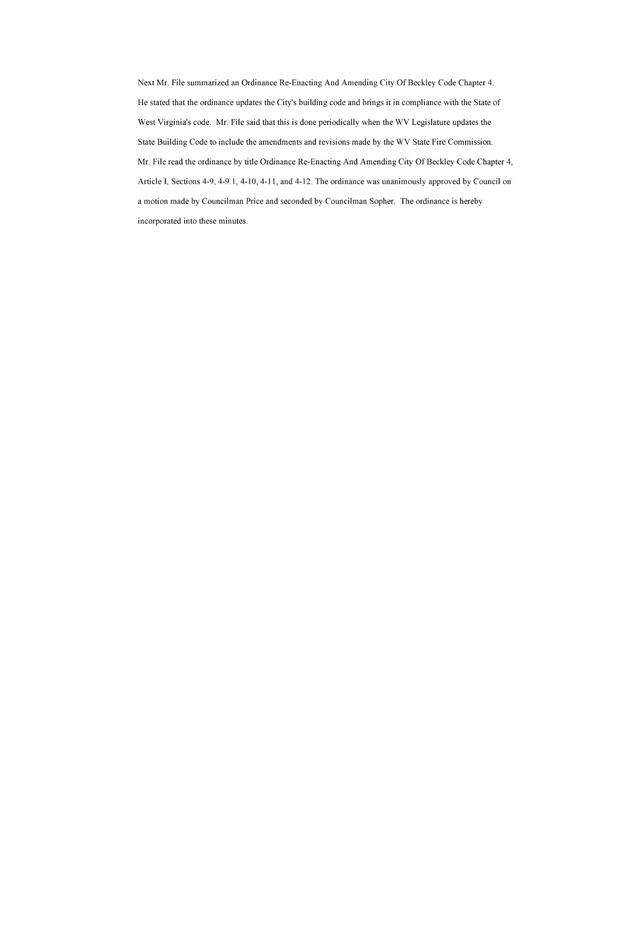Next Mr. File summarized an Ordinance Re-Enacting And Amending City Of Beckley Code Chapter 4. He stated that the ordinance updates the City's building code and brings it in compliance with the State of West Virginia's code. Mr. File said that this is done periodically when the WV Legislature updates the State Building Code to include the amendments and revisions made by the WV State Fire Commission. Mr. File read the ordinance by title Ordinance Re-Enacting And Amending City Of Beckley Code Chapter 4, Article I, Sections 4-9, 4-9.1, 4-10, 4-11, and 4-12. The ordinance was unanimously approved by Council on a motion made by Councilman Price and seconded by Councilman Sopher. The ordinance is hereby incorporated into these minutes.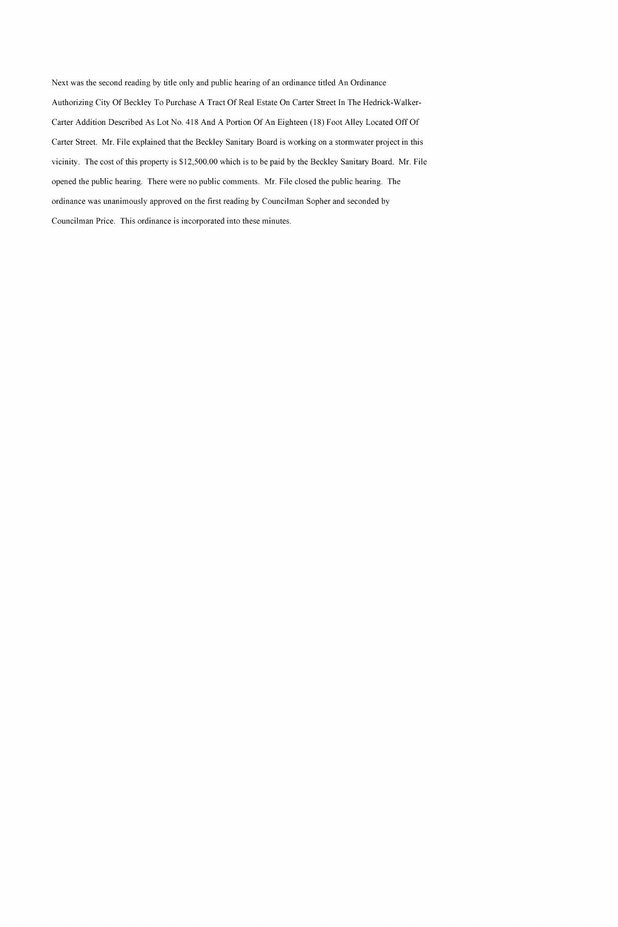Next was the second reading by title only and public hearing of an ordinance titled An Ordinance Authorizing City Of Beckley To Purchase A Tract Of Real Estate On Carter Street In The Hedrick-Walker-Carter Addition Described As Lot No. 418 And A Portion Of An Eighteen (18) Foot Alley Located Off Of Carter Street. Mr. File explained that the Beckley Sanitary Board is working on a stormwater project in this vicinity. The cost of this property is \$12,500.00 which is to be paid by the Beckley Sanitary Board. Mr. File opened the public hearing. There were no public comments. Mr. File closed the public hearing. The ordinance was unanimously approved on the first reading by Councilman Sopher and seconded by Councilman Price. This ordinance is incorporated into these minutes.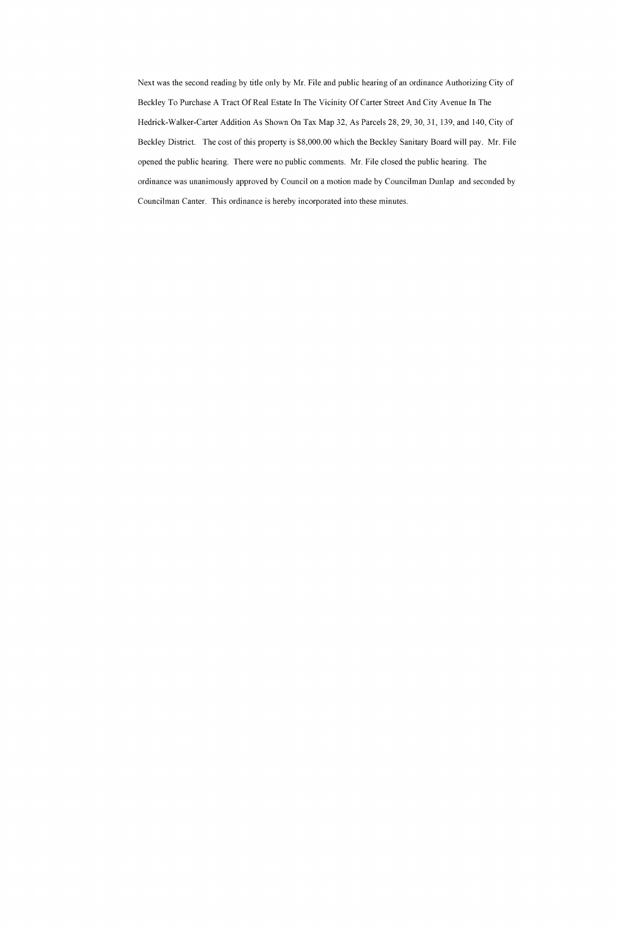Next was the second reading by title only by Mr. File and public hearing of an ordinance Authorizing City of Beckley To Purchase A Tract Of Real Estate In The Vicinity Of Carter Street And City Avenue In The Hedrick-Walker-Carter Addition As Shown On Tax Map 32, As Parcels 28, 29, 30, 31, 139, and 140, City of Beckley District. The cost of this property is \$8,000.00 which the Beckley Sanitary Board will pay. Mr. File opened the public hearing. There were no public comments. Mr. File closed the public hearing. The ordinance was unanimously approved by Council on a motion made by Councilman Dunlap and seconded by Councilman Canter. This ordinance is hereby incorporated into these minutes.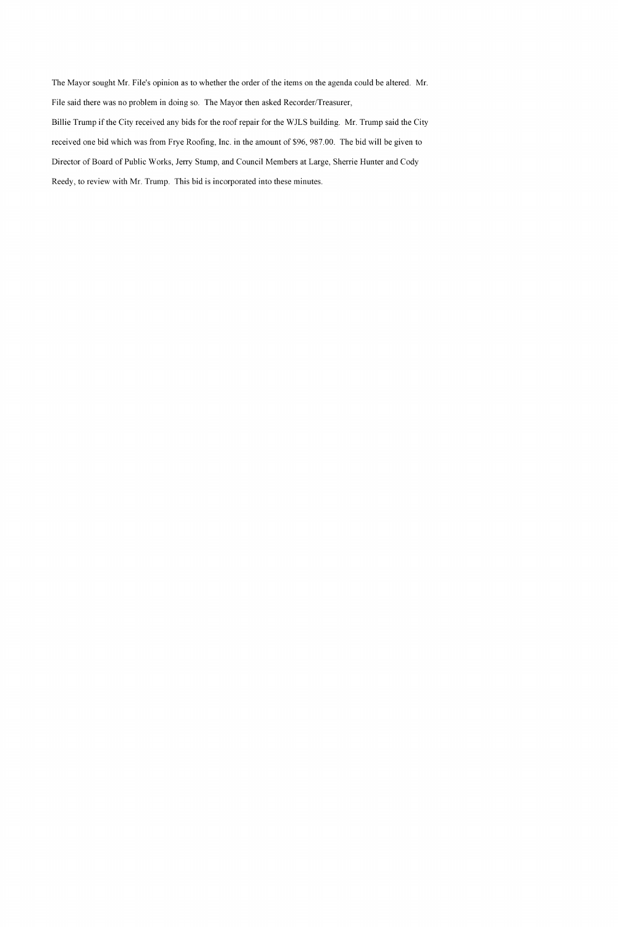The Mayor sought Mr. File's opinion as to whether the order of the items on the agenda could be altered. Mr. File said there was no problem in doing so. The Mayor then asked Recorder/Treasurer,

Billie Trump if the City received any bids for the roof repair for the WJLS building. Mr. Trump said the City received one bid which was from Frye Roofing, Inc. in the amount of \$96, 987.00. The bid will be given to Director of Board of Public Works, Jerry Stump, and Council Members at Large, Sherrie Hunter and Cody Reedy, to review with Mr. Trump. This bid is incorporated into these minutes.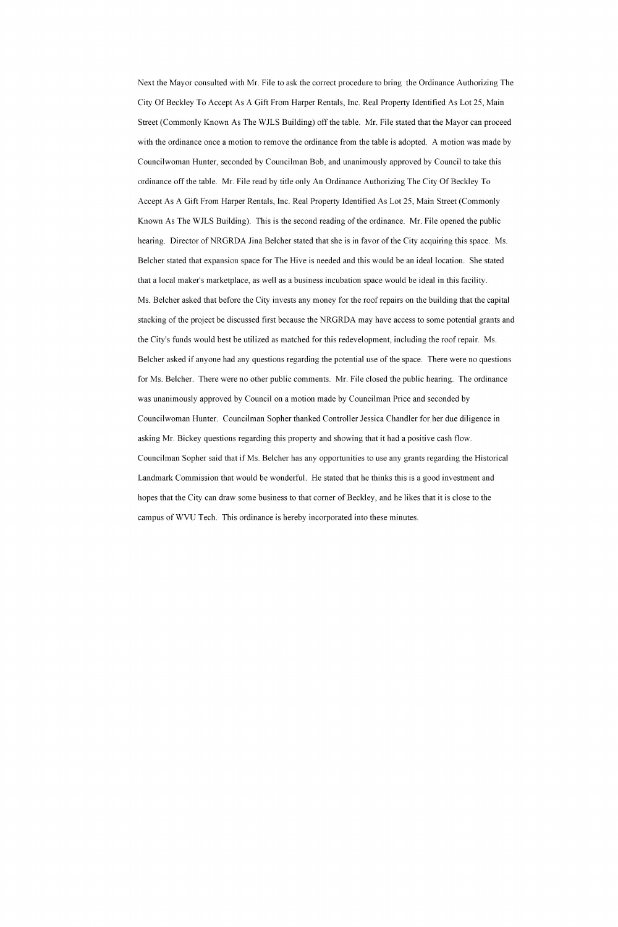Next the Mayor consulted with Mr. File to ask the correct procedure to bring the Ordinance Authorizing The City Of Beckley To Accept As A Gift From Harper Rentals, Inc. Real Property Identified As Lot 25, Main Street (Commonly Known As The WJLS Building) off the table. Mr. File stated that the Mayor can proceed with the ordinance once a motion to remove the ordinance from the table is adopted. A motion was made by Councilwoman Hunter, seconded by Councilman Bob, and unanimously approved by Council to take this ordinance off the table. Mr. File read by title only An Ordinance Authorizing The City Of Beckley To Accept As A Gift From Harper Rentals, Inc. Real Property Identified As Lot 25, Main Street (Commonly Known As The WJLS Building). This is the second reading of the ordinance. Mr. File opened the public hearing. Director of NRGRDA Jina Belcher stated that she is in favor of the City acquiring this space. Ms. Belcher stated that expansion space for The Hive is needed and this would be an ideal location. She stated that a local maker's marketplace, as well as a business incubation space would be ideal in this facility. Ms. Belcher asked that before the City invests any money for the roof repairs on the building that the capital stacking of the project be discussed first because the NRGRDA may have access to some potential grants and the City's funds would best be utilized as matched for this redevelopment, including the roof repair. Ms. Belcher asked if anyone had any questions regarding the potential use of the space. There were no questions for Ms. Belcher. There were no other public comments. Mr. File closed the public hearing. The ordinance was unanimously approved by Council on a motion made by Councilman Price and seconded by Councilwoman Hunter. Councilman Sopher thanked Controller Jessica Chandler for her due diligence in asking Mr. Bickey questions regarding this property and showing that it had a positive cash flow. Councilman Sopher said that if Ms. Belcher has any opportunities to use any grants regarding the Historical Landmark Commission that would be wonderful. He stated that he thinks this is a good investment and hopes that the City can draw some business to that corner of Beckley, and he likes that it is close to the campus of WVU Tech. This ordinance is hereby incorporated into these minutes.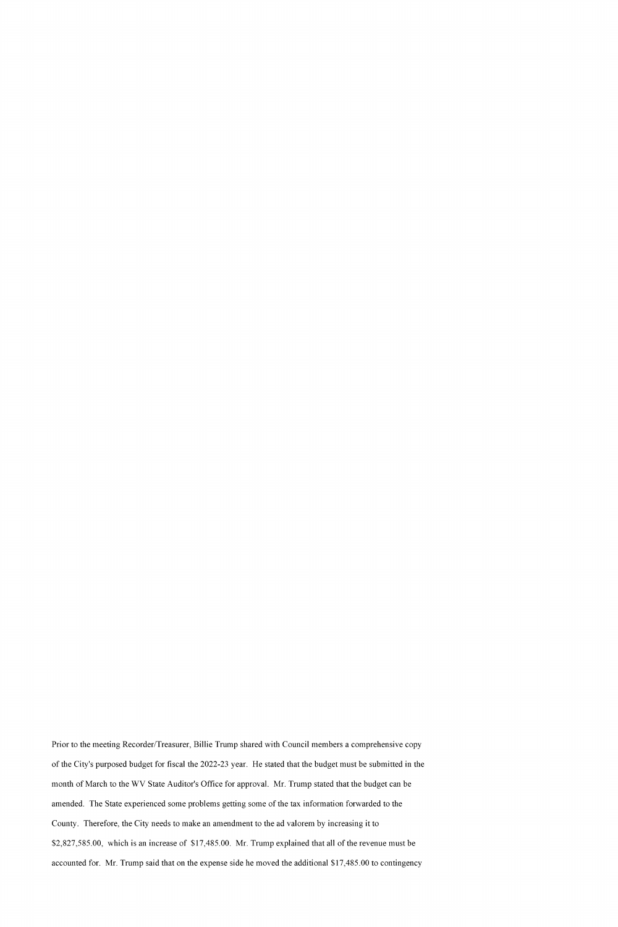Prior to the meeting Recorder/Treasurer, Billie Trump shared with Council members a comprehensive copy of the City's purposed budget for fiscal the 2022-23 year. He stated that the budget must be submitted in the month of March to the WV State Auditor's Office for approval. Mr. Trump stated that the budget can be amended. The State experienced some problems getting some of the tax information forwarded to the County. Therefore, the City needs to make an amendment to the ad valorem by increasing it to \$2,827,585.00, which is an increase of \$17,485.00. Mr. Trump explained that all of the revenue must be accounted for. Mr. Trump said that on the expense side he moved the additional \$17,485.00 to contingency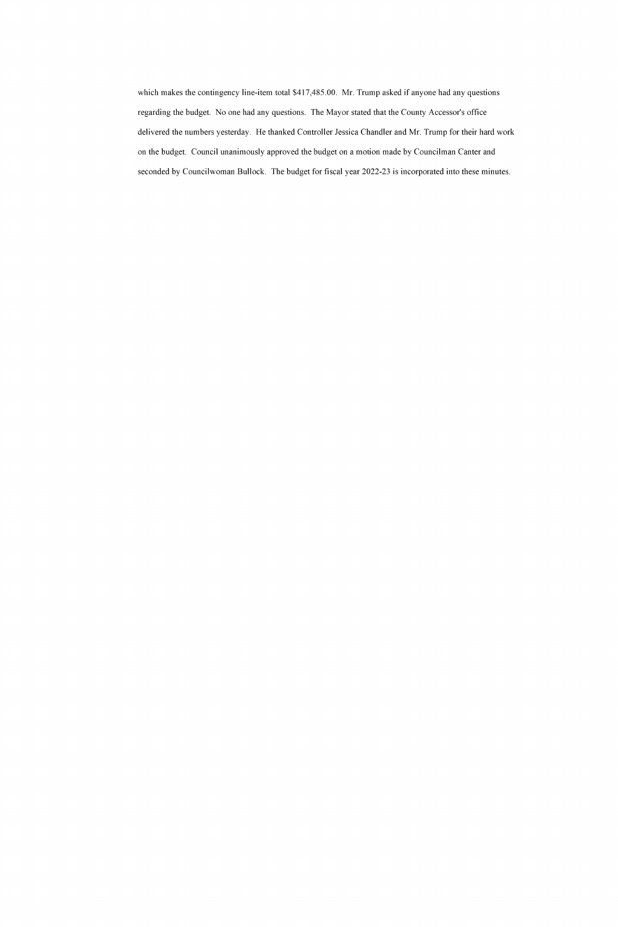which makes the contingency line-item total \$417,485.00. Mr. Trump asked if anyone had any questions regarding the budget. No one had any questions. The Mayor stated that the County Accessor's office delivered the numbers yesterday. He thanked Controller Jessica Chandler and Mr. Trump for their hard work on the budget. Council unanimously approved the budget on a motion made by Councilman Canter and seconded by Councilwoman Bullock. The budget for fiscal year 2022-23 is incorporated into these minutes.